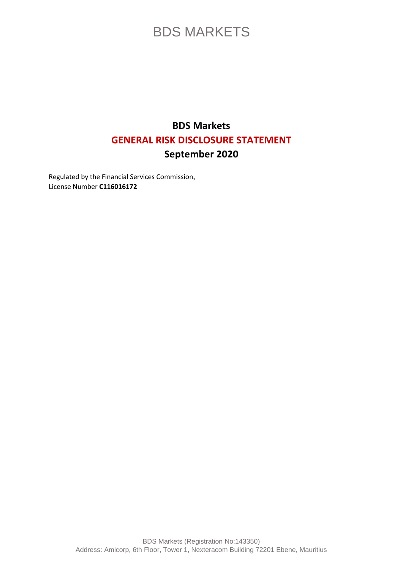### **BDS Markets GENERAL RISK DISCLOSURE STATEMENT September 2020**

Regulated by the Financial Services Commission, License Number **C116016172**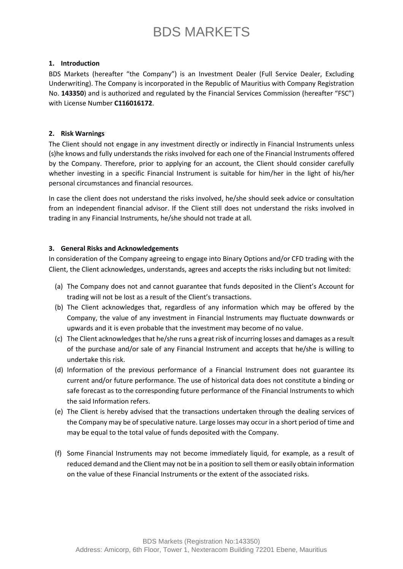#### **1. Introduction**

BDS Markets (hereafter "the Company") is an Investment Dealer (Full Service Dealer, Excluding Underwriting). The Company is incorporated in the Republic of Mauritius with Company Registration No. **143350**) and is authorized and regulated by the Financial Services Commission (hereafter "FSC") with License Number **C116016172**.

#### **2. Risk Warnings**

The Client should not engage in any investment directly or indirectly in Financial Instruments unless (s)he knows and fully understands the risks involved for each one of the Financial Instruments offered by the Company. Therefore, prior to applying for an account, the Client should consider carefully whether investing in a specific Financial Instrument is suitable for him/her in the light of his/her personal circumstances and financial resources.

In case the client does not understand the risks involved, he/she should seek advice or consultation from an independent financial advisor. If the Client still does not understand the risks involved in trading in any Financial Instruments, he/she should not trade at all.

#### **3. General Risks and Acknowledgements**

In consideration of the Company agreeing to engage into Binary Options and/or CFD trading with the Client, the Client acknowledges, understands, agrees and accepts the risks including but not limited:

- (a) The Company does not and cannot guarantee that funds deposited in the Client's Account for trading will not be lost as a result of the Client's transactions.
- (b) The Client acknowledges that, regardless of any information which may be offered by the Company, the value of any investment in Financial Instruments may fluctuate downwards or upwards and it is even probable that the investment may become of no value.
- (c) The Client acknowledges that he/she runs a great risk of incurring losses and damages as a result of the purchase and/or sale of any Financial Instrument and accepts that he/she is willing to undertake this risk.
- (d) Information of the previous performance of a Financial Instrument does not guarantee its current and/or future performance. The use of historical data does not constitute a binding or safe forecast as to the corresponding future performance of the Financial Instruments to which the said Information refers.
- (e) The Client is hereby advised that the transactions undertaken through the dealing services of the Company may be of speculative nature. Large losses may occur in a short period of time and may be equal to the total value of funds deposited with the Company.
- (f) Some Financial Instruments may not become immediately liquid, for example, as a result of reduced demand and the Client may not be in a position to sell them or easily obtain information on the value of these Financial Instruments or the extent of the associated risks.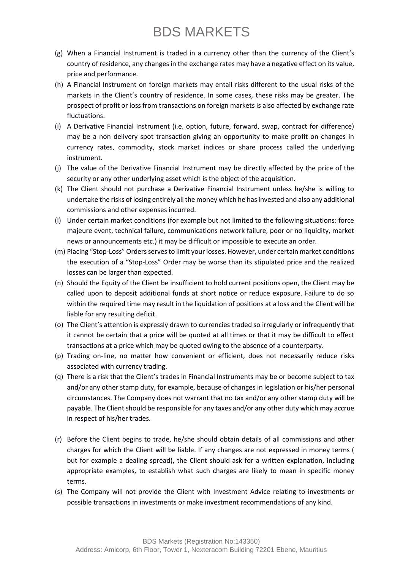- (g) When a Financial Instrument is traded in a currency other than the currency of the Client's country of residence, any changes in the exchange rates may have a negative effect on its value, price and performance.
- (h) A Financial Instrument on foreign markets may entail risks different to the usual risks of the markets in the Client's country of residence. In some cases, these risks may be greater. The prospect of profit or loss from transactions on foreign markets is also affected by exchange rate fluctuations.
- (i) A Derivative Financial Instrument (i.e. option, future, forward, swap, contract for difference) may be a non delivery spot transaction giving an opportunity to make profit on changes in currency rates, commodity, stock market indices or share process called the underlying instrument.
- (j) The value of the Derivative Financial Instrument may be directly affected by the price of the security or any other underlying asset which is the object of the acquisition.
- (k) The Client should not purchase a Derivative Financial Instrument unless he/she is willing to undertake the risks of losing entirely all the money which he has invested and also any additional commissions and other expenses incurred.
- (l) Under certain market conditions (for example but not limited to the following situations: force majeure event, technical failure, communications network failure, poor or no liquidity, market news or announcements etc.) it may be difficult or impossible to execute an order.
- (m) Placing "Stop-Loss" Orders serves to limit your losses. However, under certain market conditions the execution of a "Stop-Loss" Order may be worse than its stipulated price and the realized losses can be larger than expected.
- (n) Should the Equity of the Client be insufficient to hold current positions open, the Client may be called upon to deposit additional funds at short notice or reduce exposure. Failure to do so within the required time may result in the liquidation of positions at a loss and the Client will be liable for any resulting deficit.
- (o) The Client's attention is expressly drawn to currencies traded so irregularly or infrequently that it cannot be certain that a price will be quoted at all times or that it may be difficult to effect transactions at a price which may be quoted owing to the absence of a counterparty.
- (p) Trading on-line, no matter how convenient or efficient, does not necessarily reduce risks associated with currency trading.
- (q) There is a risk that the Client's trades in Financial Instruments may be or become subject to tax and/or any other stamp duty, for example, because of changes in legislation or his/her personal circumstances. The Company does not warrant that no tax and/or any other stamp duty will be payable. The Client should be responsible for any taxes and/or any other duty which may accrue in respect of his/her trades.
- (r) Before the Client begins to trade, he/she should obtain details of all commissions and other charges for which the Client will be liable. If any changes are not expressed in money terms ( but for example a dealing spread), the Client should ask for a written explanation, including appropriate examples, to establish what such charges are likely to mean in specific money terms.
- (s) The Company will not provide the Client with Investment Advice relating to investments or possible transactions in investments or make investment recommendations of any kind.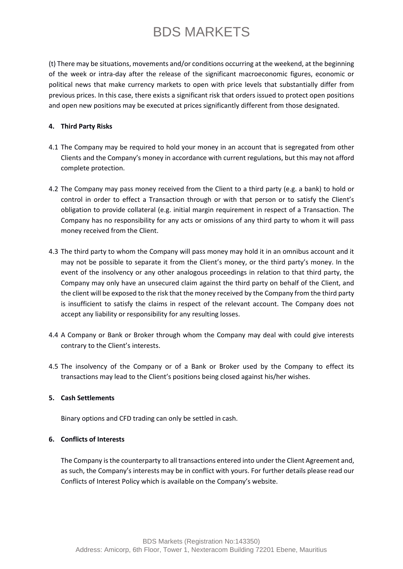(t) There may be situations, movements and/or conditions occurring at the weekend, at the beginning of the week or intra-day after the release of the significant macroeconomic figures, economic or political news that make currency markets to open with price levels that substantially differ from previous prices. In this case, there exists a significant risk that orders issued to protect open positions and open new positions may be executed at prices significantly different from those designated.

#### **4. Third Party Risks**

- 4.1 The Company may be required to hold your money in an account that is segregated from other Clients and the Company's money in accordance with current regulations, but this may not afford complete protection.
- 4.2 The Company may pass money received from the Client to a third party (e.g. a bank) to hold or control in order to effect a Transaction through or with that person or to satisfy the Client's obligation to provide collateral (e.g. initial margin requirement in respect of a Transaction. The Company has no responsibility for any acts or omissions of any third party to whom it will pass money received from the Client.
- 4.3 The third party to whom the Company will pass money may hold it in an omnibus account and it may not be possible to separate it from the Client's money, or the third party's money. In the event of the insolvency or any other analogous proceedings in relation to that third party, the Company may only have an unsecured claim against the third party on behalf of the Client, and the client will be exposed to the risk that the money received by the Company from the third party is insufficient to satisfy the claims in respect of the relevant account. The Company does not accept any liability or responsibility for any resulting losses.
- 4.4 A Company or Bank or Broker through whom the Company may deal with could give interests contrary to the Client's interests.
- 4.5 The insolvency of the Company or of a Bank or Broker used by the Company to effect its transactions may lead to the Client's positions being closed against his/her wishes.

#### **5. Cash Settlements**

Binary options and CFD trading can only be settled in cash.

#### **6. Conflicts of Interests**

The Company is the counterparty to all transactions entered into under the Client Agreement and, as such, the Company's interests may be in conflict with yours. For further details please read our Conflicts of Interest Policy which is available on the Company's website.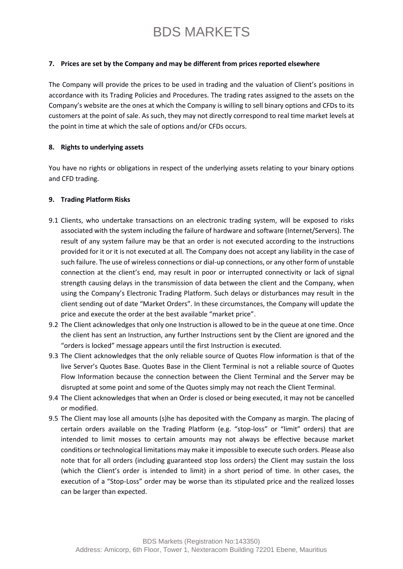#### **7. Prices are set by the Company and may be different from prices reported elsewhere**

The Company will provide the prices to be used in trading and the valuation of Client's positions in accordance with its Trading Policies and Procedures. The trading rates assigned to the assets on the Company's website are the ones at which the Company is willing to sell binary options and CFDs to its customers at the point of sale. As such, they may not directly correspond to real time market levels at the point in time at which the sale of options and/or CFDs occurs.

#### **8. Rights to underlying assets**

You have no rights or obligations in respect of the underlying assets relating to your binary options and CFD trading.

#### **9. Trading Platform Risks**

- 9.1 Clients, who undertake transactions on an electronic trading system, will be exposed to risks associated with the system including the failure of hardware and software (Internet/Servers). The result of any system failure may be that an order is not executed according to the instructions provided for it or it is not executed at all. The Company does not accept any liability in the case of such failure. The use of wireless connections or dial-up connections, or any other form of unstable connection at the client's end, may result in poor or interrupted connectivity or lack of signal strength causing delays in the transmission of data between the client and the Company, when using the Company's Electronic Trading Platform. Such delays or disturbances may result in the client sending out of date "Market Orders". In these circumstances, the Company will update the price and execute the order at the best available "market price".
- 9.2 The Client acknowledges that only one Instruction is allowed to be in the queue at one time. Once the client has sent an Instruction, any further Instructions sent by the Client are ignored and the "orders is locked" message appears until the first Instruction is executed.
- 9.3 The Client acknowledges that the only reliable source of Quotes Flow information is that of the live Server's Quotes Base. Quotes Base in the Client Terminal is not a reliable source of Quotes Flow Information because the connection between the Client Terminal and the Server may be disrupted at some point and some of the Quotes simply may not reach the Client Terminal.
- 9.4 The Client acknowledges that when an Order is closed or being executed, it may not be cancelled or modified.
- 9.5 The Client may lose all amounts (s)he has deposited with the Company as margin. The placing of certain orders available on the Trading Platform (e.g. "stop-loss" or "limit" orders) that are intended to limit mosses to certain amounts may not always be effective because market conditions or technological limitations may make it impossible to execute such orders. Please also note that for all orders (including guaranteed stop loss orders) the Client may sustain the loss (which the Client's order is intended to limit) in a short period of time. In other cases, the execution of a "Stop-Loss" order may be worse than its stipulated price and the realized losses can be larger than expected.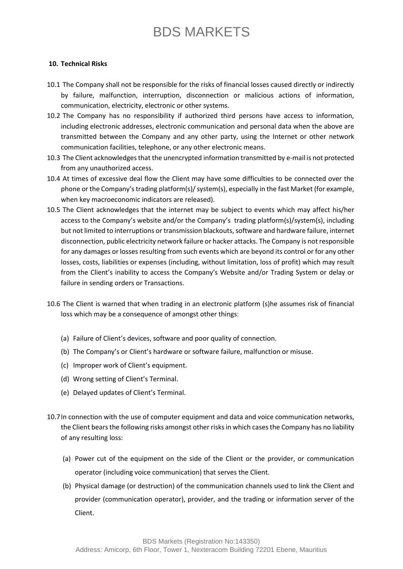#### **10. Technical Risks**

- 10.1 The Company shall not be responsible for the risks of financial losses caused directly or indirectly by failure, malfunction, interruption, disconnection or malicious actions of information, communication, electricity, electronic or other systems.
- 10.2 The Company has no responsibility if authorized third persons have access to information, including electronic addresses, electronic communication and personal data when the above are transmitted between the Company and any other party, using the Internet or other network communication facilities, telephone, or any other electronic means.
- 10.3 The Client acknowledges that the unencrypted information transmitted by e-mail is not protected from any unauthorized access.
- 10.4 At times of excessive deal flow the Client may have some difficulties to be connected over the phone or the Company's trading platform(s)/ system(s), especially in the fast Market (for example, when key macroeconomic indicators are released).
- 10.5 The Client acknowledges that the internet may be subject to events which may affect his/her access to the Company's website and/or the Company's trading platform(s)/system(s), including but not limited to interruptions or transmission blackouts, software and hardware failure, internet disconnection, public electricity network failure or hacker attacks. The Company is not responsible for any damages or losses resulting from such events which are beyond its control or for any other losses, costs, liabilities or expenses (including, without limitation, loss of profit) which may result from the Client's inability to access the Company's Website and/or Trading System or delay or failure in sending orders or Transactions.
- 10.6 The Client is warned that when trading in an electronic platform (s)he assumes risk of financial loss which may be a consequence of amongst other things:
	- (a) Failure of Client's devices, software and poor quality of connection.
	- (b) The Company's or Client's hardware or software failure, malfunction or misuse.
	- (c) Improper work of Client's equipment.
	- (d) Wrong setting of Client's Terminal.
	- (e) Delayed updates of Client's Terminal.
- 10.7In connection with the use of computer equipment and data and voice communication networks, the Client bears the following risks amongst other risks in which cases the Company has no liability of any resulting loss:
	- (a) Power cut of the equipment on the side of the Client or the provider, or communication operator (including voice communication) that serves the Client.
	- (b) Physical damage (or destruction) of the communication channels used to link the Client and provider (communication operator), provider, and the trading or information server of the Client.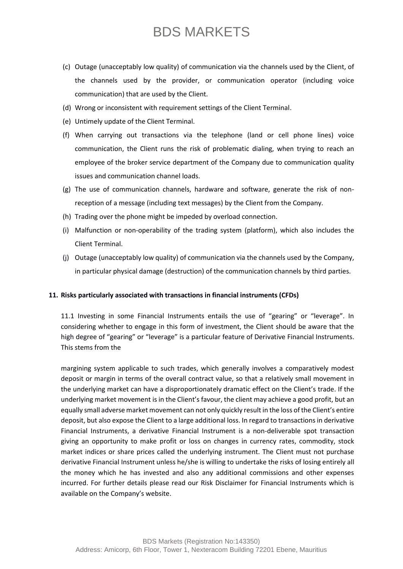- (c) Outage (unacceptably low quality) of communication via the channels used by the Client, of the channels used by the provider, or communication operator (including voice communication) that are used by the Client.
- (d) Wrong or inconsistent with requirement settings of the Client Terminal.
- (e) Untimely update of the Client Terminal.
- (f) When carrying out transactions via the telephone (land or cell phone lines) voice communication, the Client runs the risk of problematic dialing, when trying to reach an employee of the broker service department of the Company due to communication quality issues and communication channel loads.
- (g) The use of communication channels, hardware and software, generate the risk of nonreception of a message (including text messages) by the Client from the Company.
- (h) Trading over the phone might be impeded by overload connection.
- (i) Malfunction or non-operability of the trading system (platform), which also includes the Client Terminal.
- (j) Outage (unacceptably low quality) of communication via the channels used by the Company, in particular physical damage (destruction) of the communication channels by third parties.

#### **11. Risks particularly associated with transactions in financial instruments (CFDs)**

11.1 Investing in some Financial Instruments entails the use of "gearing" or "leverage". In considering whether to engage in this form of investment, the Client should be aware that the high degree of "gearing" or "leverage" is a particular feature of Derivative Financial Instruments. This stems from the

margining system applicable to such trades, which generally involves a comparatively modest deposit or margin in terms of the overall contract value, so that a relatively small movement in the underlying market can have a disproportionately dramatic effect on the Client's trade. If the underlying market movement is in the Client's favour, the client may achieve a good profit, but an equally small adverse market movement can not only quickly result in the loss of the Client's entire deposit, but also expose the Client to a large additional loss. In regard to transactions in derivative Financial Instruments, a derivative Financial Instrument is a non-deliverable spot transaction giving an opportunity to make profit or loss on changes in currency rates, commodity, stock market indices or share prices called the underlying instrument. The Client must not purchase derivative Financial Instrument unless he/she is willing to undertake the risks of losing entirely all the money which he has invested and also any additional commissions and other expenses incurred. For further details please read our Risk Disclaimer for Financial Instruments which is available on the Company's website.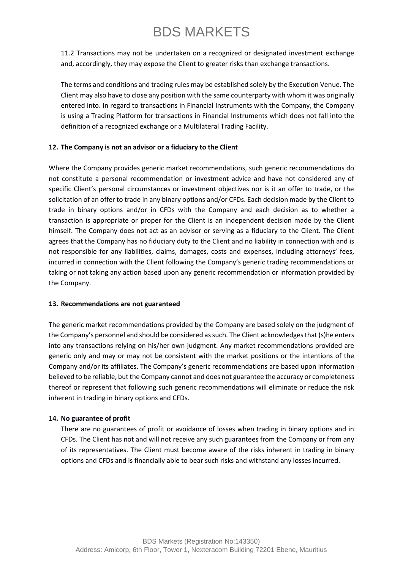11.2 Transactions may not be undertaken on a recognized or designated investment exchange and, accordingly, they may expose the Client to greater risks than exchange transactions.

The terms and conditions and trading rules may be established solely by the Execution Venue. The Client may also have to close any position with the same counterparty with whom it was originally entered into. In regard to transactions in Financial Instruments with the Company, the Company is using a Trading Platform for transactions in Financial Instruments which does not fall into the definition of a recognized exchange or a Multilateral Trading Facility.

#### **12. The Company is not an advisor or a fiduciary to the Client**

Where the Company provides generic market recommendations, such generic recommendations do not constitute a personal recommendation or investment advice and have not considered any of specific Client's personal circumstances or investment objectives nor is it an offer to trade, or the solicitation of an offer to trade in any binary options and/or CFDs. Each decision made by the Client to trade in binary options and/or in CFDs with the Company and each decision as to whether a transaction is appropriate or proper for the Client is an independent decision made by the Client himself. The Company does not act as an advisor or serving as a fiduciary to the Client. The Client agrees that the Company has no fiduciary duty to the Client and no liability in connection with and is not responsible for any liabilities, claims, damages, costs and expenses, including attorneys' fees, incurred in connection with the Client following the Company's generic trading recommendations or taking or not taking any action based upon any generic recommendation or information provided by the Company.

#### **13. Recommendations are not guaranteed**

The generic market recommendations provided by the Company are based solely on the judgment of the Company's personnel and should be considered as such. The Client acknowledges that (s)he enters into any transactions relying on his/her own judgment. Any market recommendations provided are generic only and may or may not be consistent with the market positions or the intentions of the Company and/or its affiliates. The Company's generic recommendations are based upon information believed to be reliable, but the Company cannot and does not guarantee the accuracy or completeness thereof or represent that following such generic recommendations will eliminate or reduce the risk inherent in trading in binary options and CFDs.

#### **14. No guarantee of profit**

There are no guarantees of profit or avoidance of losses when trading in binary options and in CFDs. The Client has not and will not receive any such guarantees from the Company or from any of its representatives. The Client must become aware of the risks inherent in trading in binary options and CFDs and is financially able to bear such risks and withstand any losses incurred.